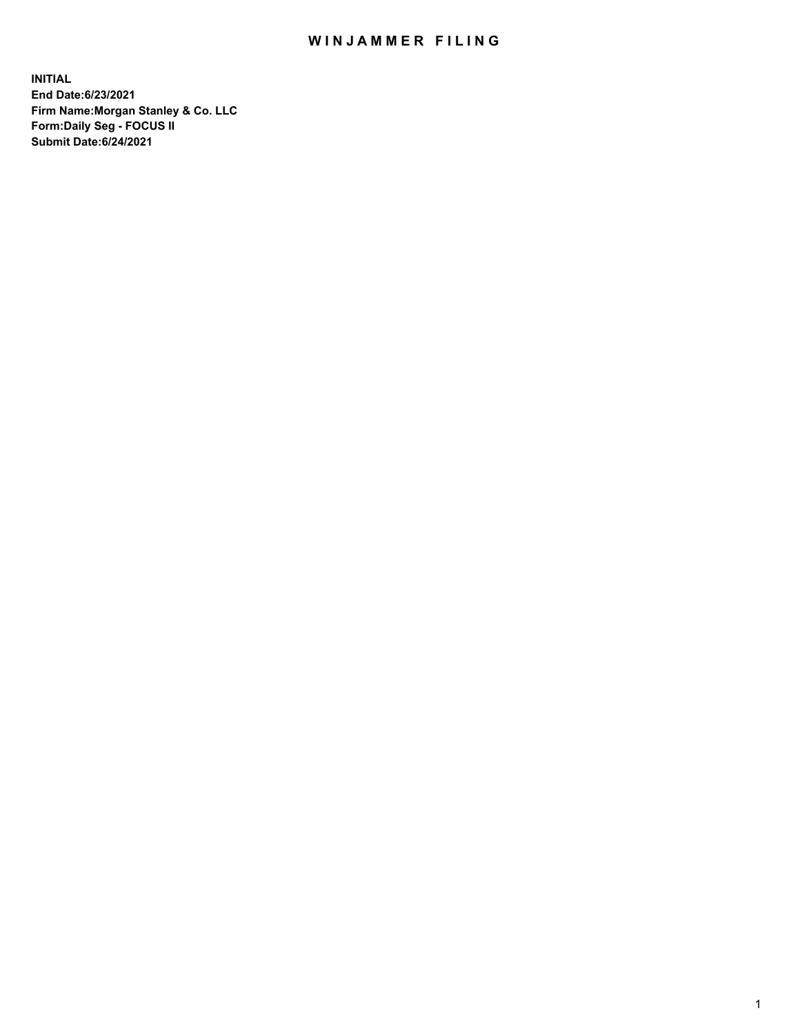## WIN JAMMER FILING

**INITIAL End Date:6/23/2021 Firm Name:Morgan Stanley & Co. LLC Form:Daily Seg - FOCUS II Submit Date:6/24/2021**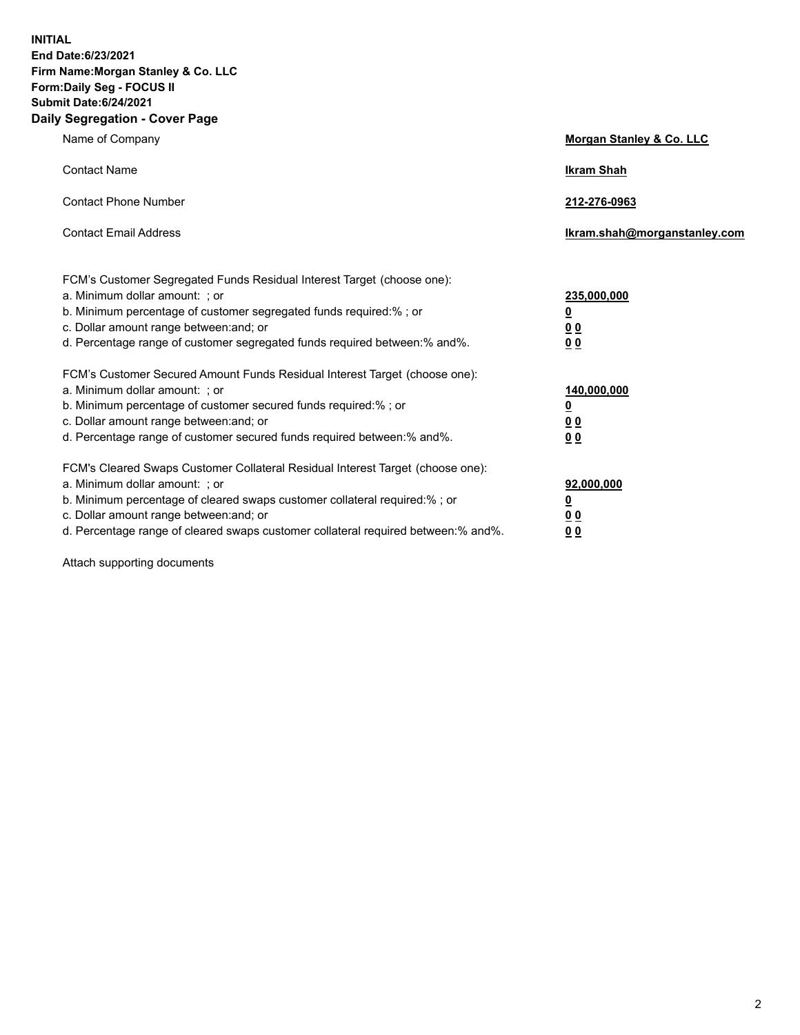**INITIAL End Date:6/23/2021 Firm Name:Morgan Stanley & Co. LLC Form:Daily Seg - FOCUS II Submit Date:6/24/2021 Daily Segregation - Cover Page**

| Name of Company                                                                                                                                                                                                                                                                                                                | Morgan Stanley & Co. LLC                               |
|--------------------------------------------------------------------------------------------------------------------------------------------------------------------------------------------------------------------------------------------------------------------------------------------------------------------------------|--------------------------------------------------------|
| <b>Contact Name</b>                                                                                                                                                                                                                                                                                                            | <b>Ikram Shah</b>                                      |
| <b>Contact Phone Number</b>                                                                                                                                                                                                                                                                                                    | 212-276-0963                                           |
| <b>Contact Email Address</b>                                                                                                                                                                                                                                                                                                   | Ikram.shah@morganstanley.com                           |
| FCM's Customer Segregated Funds Residual Interest Target (choose one):<br>a. Minimum dollar amount: ; or<br>b. Minimum percentage of customer segregated funds required:% ; or<br>c. Dollar amount range between: and; or<br>d. Percentage range of customer segregated funds required between: % and %.                       | 235,000,000<br><u>0</u><br>00<br>0 <sub>0</sub>        |
| FCM's Customer Secured Amount Funds Residual Interest Target (choose one):<br>a. Minimum dollar amount: ; or<br>b. Minimum percentage of customer secured funds required:% ; or<br>c. Dollar amount range between: and; or<br>d. Percentage range of customer secured funds required between:% and%.                           | 140,000,000<br><u>0</u><br><u>00</u><br>0 <sub>0</sub> |
| FCM's Cleared Swaps Customer Collateral Residual Interest Target (choose one):<br>a. Minimum dollar amount: ; or<br>b. Minimum percentage of cleared swaps customer collateral required:% ; or<br>c. Dollar amount range between: and; or<br>d. Percentage range of cleared swaps customer collateral required between:% and%. | 92,000,000<br><u>0</u><br><u>00</u><br>00              |

Attach supporting documents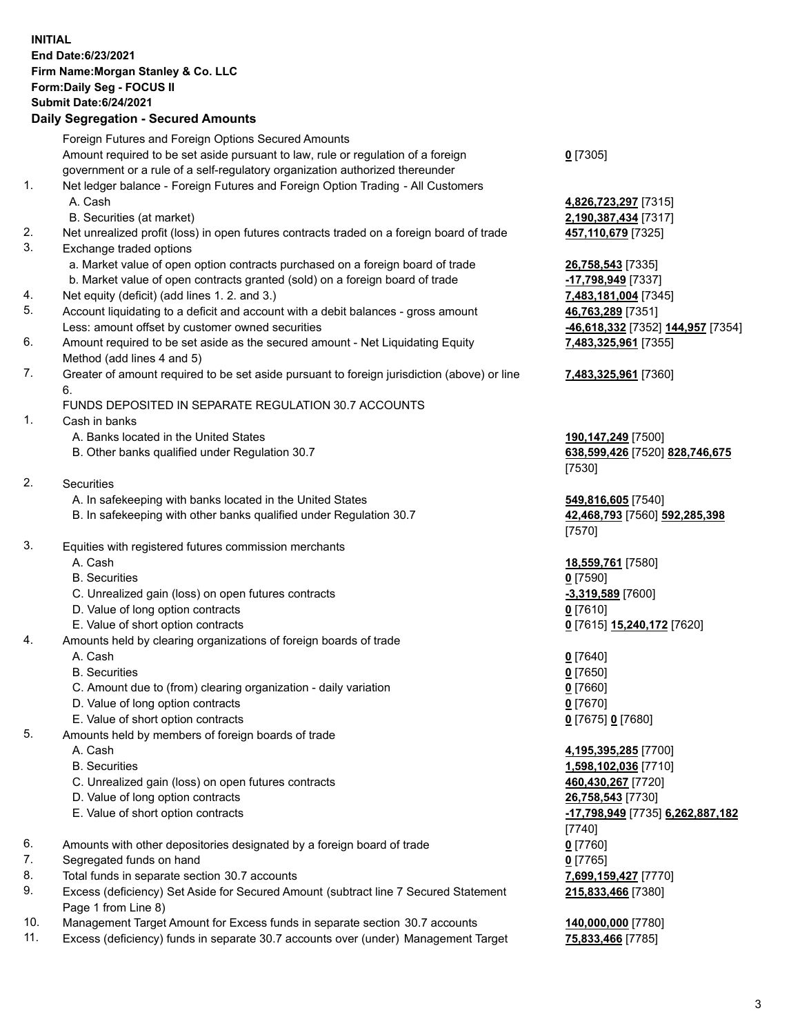## **INITIAL End Date:6/23/2021 Firm Name:Morgan Stanley & Co. LLC Form:Daily Seg - FOCUS II Submit Date:6/24/2021**

## **Daily Segregation - Secured Amounts**

|    | Foreign Futures and Foreign Options Secured Amounts                                               |                                   |
|----|---------------------------------------------------------------------------------------------------|-----------------------------------|
|    | Amount required to be set aside pursuant to law, rule or regulation of a foreign                  | $0$ [7305]                        |
|    | government or a rule of a self-regulatory organization authorized thereunder                      |                                   |
| 1. | Net ledger balance - Foreign Futures and Foreign Option Trading - All Customers                   |                                   |
|    | A. Cash                                                                                           | 4,826,723,297 [7315]              |
|    | B. Securities (at market)                                                                         | 2,190,387,434 [7317]              |
| 2. | Net unrealized profit (loss) in open futures contracts traded on a foreign board of trade         | 457,110,679 [7325]                |
| 3. | Exchange traded options                                                                           |                                   |
|    | a. Market value of open option contracts purchased on a foreign board of trade                    | 26,758,543 [7335]                 |
|    | b. Market value of open contracts granted (sold) on a foreign board of trade                      | -17,798,949 [7337]                |
| 4. | Net equity (deficit) (add lines 1.2. and 3.)                                                      | 7,483,181,004 [7345]              |
| 5. | Account liquidating to a deficit and account with a debit balances - gross amount                 | 46,763,289 [7351]                 |
|    | Less: amount offset by customer owned securities                                                  | -46,618,332 [7352] 144,957 [7354] |
| 6. | Amount required to be set aside as the secured amount - Net Liquidating Equity                    | 7,483,325,961 [7355]              |
|    | Method (add lines 4 and 5)                                                                        |                                   |
| 7. | Greater of amount required to be set aside pursuant to foreign jurisdiction (above) or line<br>6. | 7,483,325,961 [7360]              |
|    | FUNDS DEPOSITED IN SEPARATE REGULATION 30.7 ACCOUNTS                                              |                                   |
| 1. | Cash in banks                                                                                     |                                   |
|    | A. Banks located in the United States                                                             | 190,147,249 [7500]                |
|    | B. Other banks qualified under Regulation 30.7                                                    | 638,599,426 [7520] 828,746,675    |
|    |                                                                                                   | [7530]                            |
| 2. | <b>Securities</b>                                                                                 |                                   |
|    | A. In safekeeping with banks located in the United States                                         | 549,816,605 [7540]                |
|    | B. In safekeeping with other banks qualified under Regulation 30.7                                | 42,468,793 [7560] 592,285,398     |
|    |                                                                                                   | [7570]                            |
| 3. | Equities with registered futures commission merchants                                             |                                   |
|    | A. Cash                                                                                           | 18,559,761 [7580]                 |
|    | <b>B.</b> Securities                                                                              | $0$ [7590]                        |
|    | C. Unrealized gain (loss) on open futures contracts                                               | $-3,319,589$ [7600]               |
|    | D. Value of long option contracts                                                                 | $0$ [7610]                        |
|    | E. Value of short option contracts                                                                | 0 [7615] 15,240,172 [7620]        |
| 4. | Amounts held by clearing organizations of foreign boards of trade                                 |                                   |
|    | A. Cash                                                                                           | $0$ [7640]                        |
|    | <b>B.</b> Securities                                                                              | $0$ [7650]                        |
|    | C. Amount due to (from) clearing organization - daily variation                                   | $0$ [7660]                        |
|    | D. Value of long option contracts                                                                 | $0$ [7670]                        |
|    | E. Value of short option contracts                                                                | 0 [7675] 0 [7680]                 |
| 5. | Amounts held by members of foreign boards of trade                                                |                                   |
|    | A. Cash                                                                                           | 4,195,395,285 [7700]              |
|    | <b>B.</b> Securities                                                                              | 1,598,102,036 [7710]              |
|    | C. Unrealized gain (loss) on open futures contracts                                               | 460,430,267 [7720]                |
|    | D. Value of long option contracts                                                                 | 26,758,543 [7730]                 |
|    | E. Value of short option contracts                                                                | -17,798,949 [7735] 6,262,887,182  |
|    |                                                                                                   | [7740]                            |
| 6. | Amounts with other depositories designated by a foreign board of trade                            | $0$ [7760]                        |
| 7. | Segregated funds on hand                                                                          | $0$ [7765]                        |
| 8. | Total funds in separate section 30.7 accounts                                                     | 7,699,159,427 [7770]              |
| 9. | Excess (deficiency) Set Aside for Secured Amount (subtract line 7 Secured Statement               | 215,833,466 [7380]                |
|    | Page 1 from Line 8)                                                                               |                                   |

- 10. Management Target Amount for Excess funds in separate section 30.7 accounts **140,000,000** [7780]
- 11. Excess (deficiency) funds in separate 30.7 accounts over (under) Management Target **75,833,466** [7785]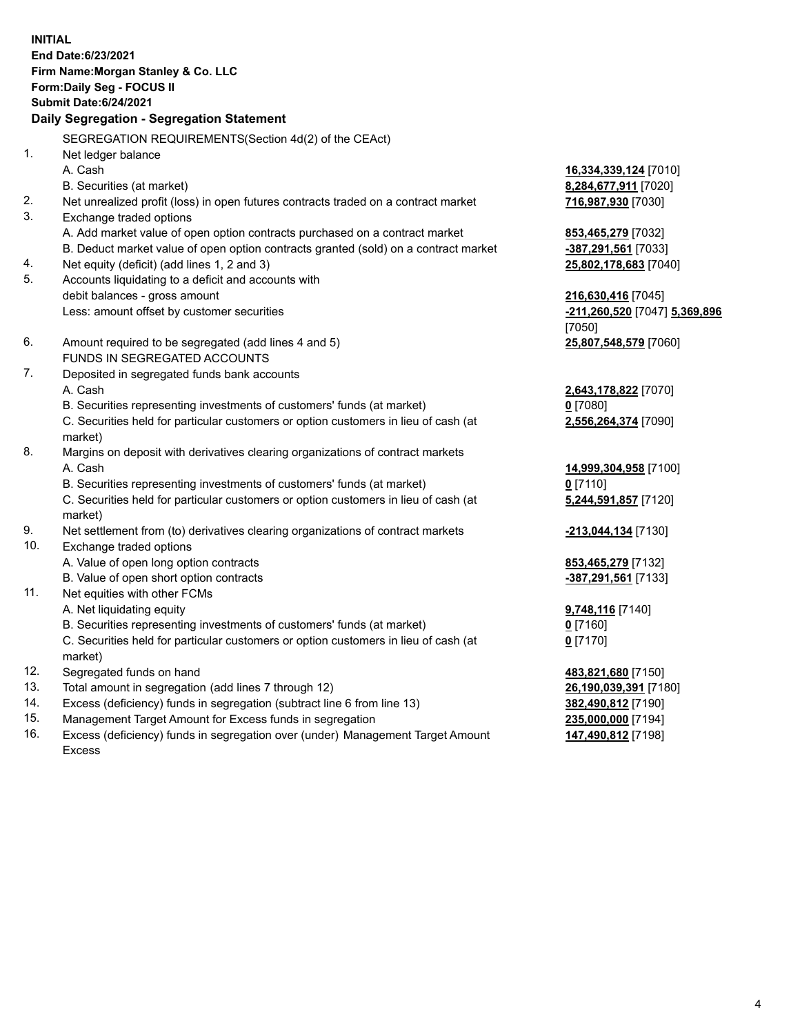**INITIAL End Date:6/23/2021 Firm Name:Morgan Stanley & Co. LLC Form:Daily Seg - FOCUS II Submit Date:6/24/2021 Daily Segregation - Segregation Statement** SEGREGATION REQUIREMENTS(Section 4d(2) of the CEAct) 1. Net ledger balance A. Cash **16,334,339,124** [7010] B. Securities (at market) **8,284,677,911** [7020] 2. Net unrealized profit (loss) in open futures contracts traded on a contract market **716,987,930** [7030] 3. Exchange traded options A. Add market value of open option contracts purchased on a contract market **853,465,279** [7032] B. Deduct market value of open option contracts granted (sold) on a contract market **-387,291,561** [7033] 4. Net equity (deficit) (add lines 1, 2 and 3) **25,802,178,683** [7040] 5. Accounts liquidating to a deficit and accounts with debit balances - gross amount **216,630,416** [7045] Less: amount offset by customer securities **-211,260,520** [7047] **5,369,896** [7050] 6. Amount required to be segregated (add lines 4 and 5) **25,807,548,579** [7060] FUNDS IN SEGREGATED ACCOUNTS 7. Deposited in segregated funds bank accounts A. Cash **2,643,178,822** [7070] B. Securities representing investments of customers' funds (at market) **0** [7080] C. Securities held for particular customers or option customers in lieu of cash (at market) **2,556,264,374** [7090] 8. Margins on deposit with derivatives clearing organizations of contract markets A. Cash **14,999,304,958** [7100] B. Securities representing investments of customers' funds (at market) **0** [7110] C. Securities held for particular customers or option customers in lieu of cash (at market) **5,244,591,857** [7120] 9. Net settlement from (to) derivatives clearing organizations of contract markets **-213,044,134** [7130] 10. Exchange traded options A. Value of open long option contracts **853,465,279** [7132] B. Value of open short option contracts **-387,291,561** [7133] 11. Net equities with other FCMs A. Net liquidating equity **9,748,116** [7140] B. Securities representing investments of customers' funds (at market) **0** [7160] C. Securities held for particular customers or option customers in lieu of cash (at market) **0** [7170] 12. Segregated funds on hand **483,821,680** [7150] 13. Total amount in segregation (add lines 7 through 12) **26,190,039,391** [7180] 14. Excess (deficiency) funds in segregation (subtract line 6 from line 13) **382,490,812** [7190]

- 15. Management Target Amount for Excess funds in segregation **235,000,000** [7194]
- 16. Excess (deficiency) funds in segregation over (under) Management Target Amount Excess

**147,490,812** [7198]